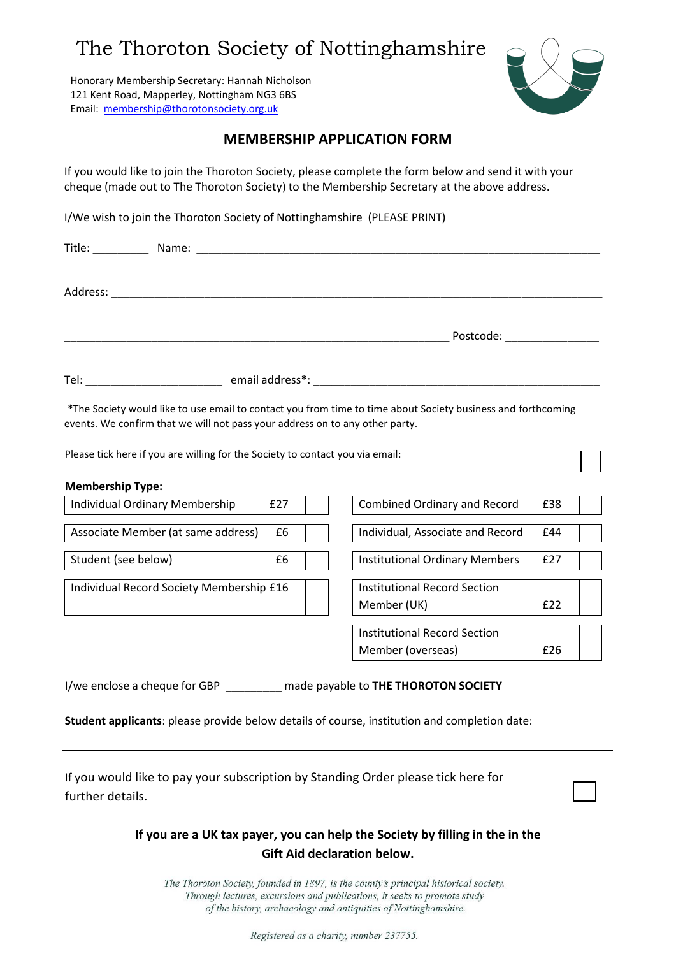# The Thoroton Society of Nottinghamshire

Honorary Membership Secretary: Hannah Nicholson 121 Kent Road, Mapperley, Nottingham NG3 6BS Email: [membership@thorotonsociety.org.uk](mailto:membership@thorotonsociety.org.uk)



## **MEMBERSHIP APPLICATION FORM**

If you would like to join the Thoroton Society, please complete the form below and send it with your cheque (made out to The Thoroton Society) to the Membership Secretary at the above address.

I/We wish to join the Thoroton Society of Nottinghamshire (PLEASE PRINT)

|  | Postcode: ________________                                                                                       |  |
|--|------------------------------------------------------------------------------------------------------------------|--|
|  |                                                                                                                  |  |
|  | المار المتأمر المستحقق والمستحقق والمستحقق والمستحقق والمستحقق والمستحقق والمستحقق والمستحقق والمستحقق والمستحقق |  |

\*The Society would like to use email to contact you from time to time about Society business and forthcoming events. We confirm that we will not pass your address on to any other party.

Please tick here if you are willing for the Society to contact you via email:

#### **Membership Type:**

| Individual Ordinary Membership           | <b>Combined Ordinary and Record</b>                      |
|------------------------------------------|----------------------------------------------------------|
| £27                                      | £38                                                      |
| £6                                       | Individual, Associate and Record                         |
| Associate Member (at same address)       | £44                                                      |
| Student (see below)                      | <b>Institutional Ordinary Members</b>                    |
| £6                                       | £27                                                      |
| Individual Record Society Membership £16 | Institutional Record Section<br>Member (UK)<br>£22       |
|                                          | Institutional Record Section<br>Member (overseas)<br>£26 |

I/we enclose a cheque for GBP \_\_\_\_\_\_\_\_\_ made payable to **THE THOROTON SOCIETY**

**Student applicants**: please provide below details of course, institution and completion date:

If you would like to pay your subscription by Standing Order please tick here for further details.

### **If you are a UK tax payer, you can help the Society by filling in the in the Gift Aid declaration below.**

The Thoroton Society, founded in 1897, is the county's principal historical society. Through lectures, excursions and publications, it seeks to promote study of the history, archaeology and antiquities of Nottinghamshire.

Registered as a charity, number 237755.